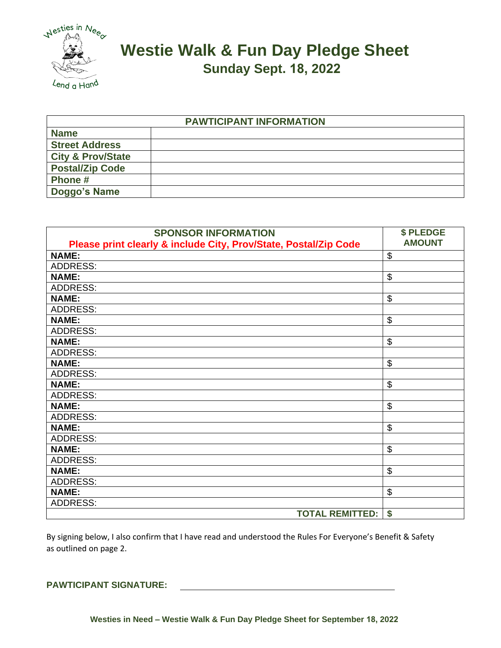

## **Westie Walk & Fun Day Pledge Sheet Sunday Sept. 18, 2022**

| <b>PAWTICIPANT INFORMATION</b> |  |  |
|--------------------------------|--|--|
| <b>Name</b>                    |  |  |
| <b>Street Address</b>          |  |  |
| <b>City &amp; Prov/State</b>   |  |  |
| <b>Postal/Zip Code</b>         |  |  |
| Phone#                         |  |  |
| Doggo's Name                   |  |  |

| <b>SPONSOR INFORMATION</b>                                       | \$ PLEDGE     |
|------------------------------------------------------------------|---------------|
| Please print clearly & include City, Prov/State, Postal/Zip Code | <b>AMOUNT</b> |
| <b>NAME:</b>                                                     | \$            |
| <b>ADDRESS:</b>                                                  |               |
| <b>NAME:</b>                                                     | \$            |
| <b>ADDRESS:</b>                                                  |               |
| <b>NAME:</b>                                                     | \$            |
| <b>ADDRESS:</b>                                                  |               |
| <b>NAME:</b>                                                     | \$            |
| <b>ADDRESS:</b>                                                  |               |
| <b>NAME:</b>                                                     | \$            |
| <b>ADDRESS:</b>                                                  |               |
| <b>NAME:</b>                                                     | \$            |
| <b>ADDRESS:</b>                                                  |               |
| <b>NAME:</b>                                                     | \$            |
| <b>ADDRESS:</b>                                                  |               |
| <b>NAME:</b>                                                     | \$            |
| <b>ADDRESS:</b>                                                  |               |
| <b>NAME:</b>                                                     | \$            |
| <b>ADDRESS:</b>                                                  |               |
| <b>NAME:</b>                                                     | \$            |
| <b>ADDRESS:</b>                                                  |               |
| <b>NAME:</b>                                                     | \$            |
| <b>ADDRESS:</b>                                                  |               |
| <b>NAME:</b>                                                     | \$            |
| <b>ADDRESS:</b>                                                  |               |
| <b>TOTAL REMITTED:</b>                                           | \$            |

By signing below, I also confirm that I have read and understood the Rules For Everyone's Benefit & Safety as outlined on page 2.

## **PAWTICIPANT SIGNATURE:**